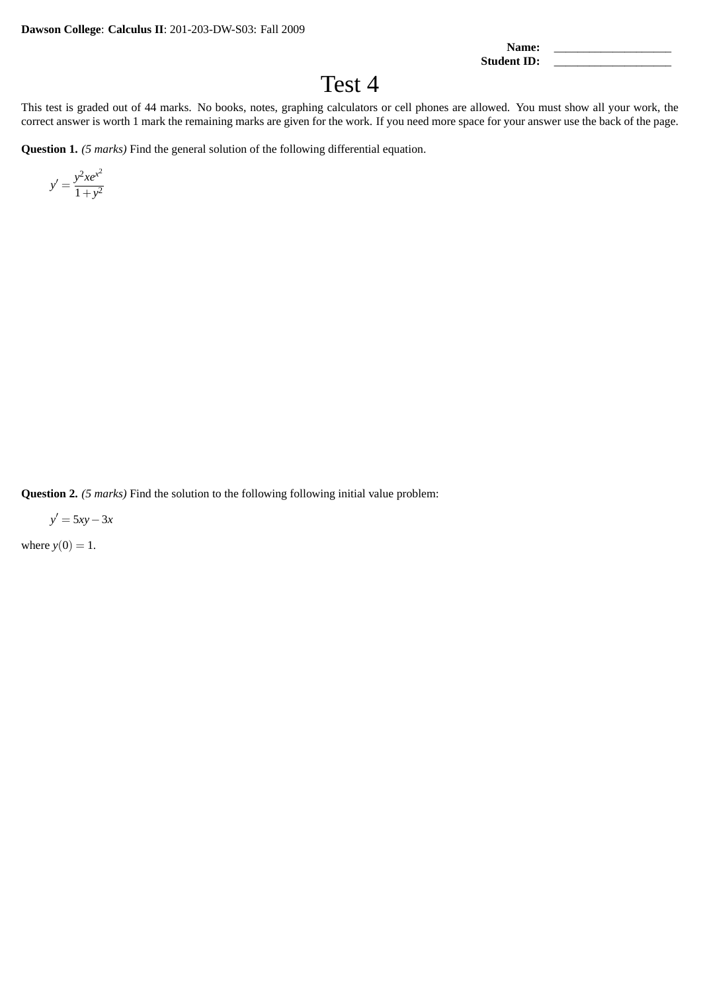Name: **Student ID:** 

Test 4

This test is graded out of 44 marks. No books, notes, graphing calculators or cell phones are allowed. You must show all your work, the correct answer is worth 1 mark the remaining marks are given for the work. If you need more space for your answer use the back of the page.

**Question 1.** *(5 marks)* Find the general solution of the following differential equation.

 $y' = \frac{y^2 x e^{x^2}}{1}$  $1 + y^2$ 

**Question 2.** *(5 marks)* Find the solution to the following following initial value problem:

*y* ′ = 5*xy*−3*x*

where  $y(0) = 1$ .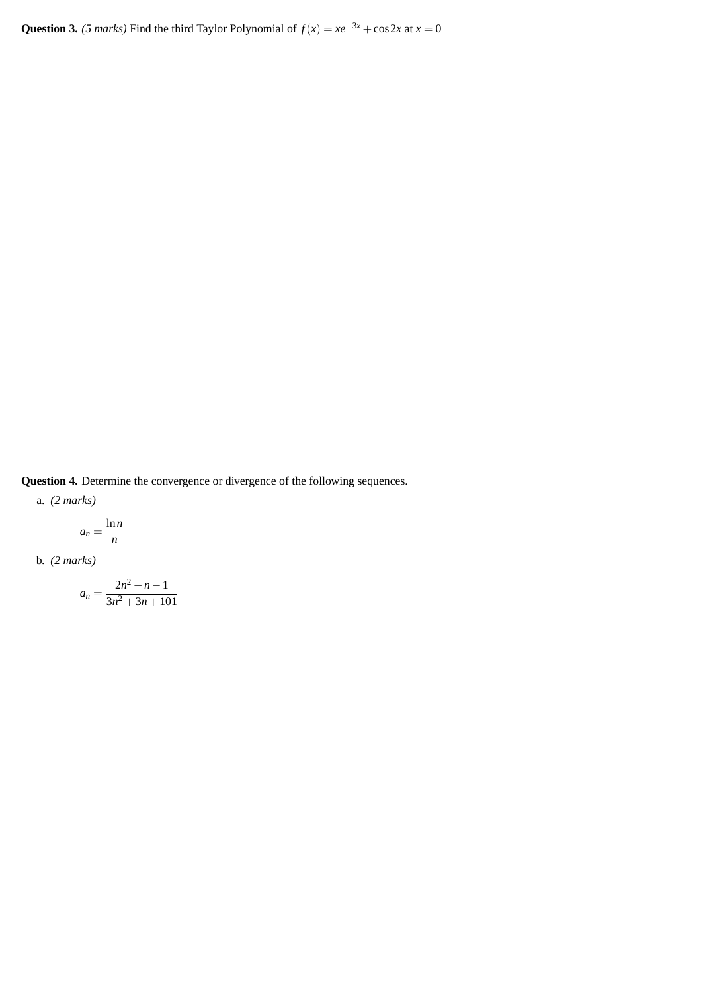Question 3. *(5 marks)* Find the third Taylor Polynomial of  $f(x) = xe^{-3x} + cos 2x$  at  $x = 0$ 

**Question 4.** Determine the convergence or divergence of the following sequences.

a. *(2 marks)*

$$
a_n = \frac{\ln n}{n}
$$

b. *(2 marks)*

$$
a_n = \frac{2n^2 - n - 1}{3n^2 + 3n + 101}
$$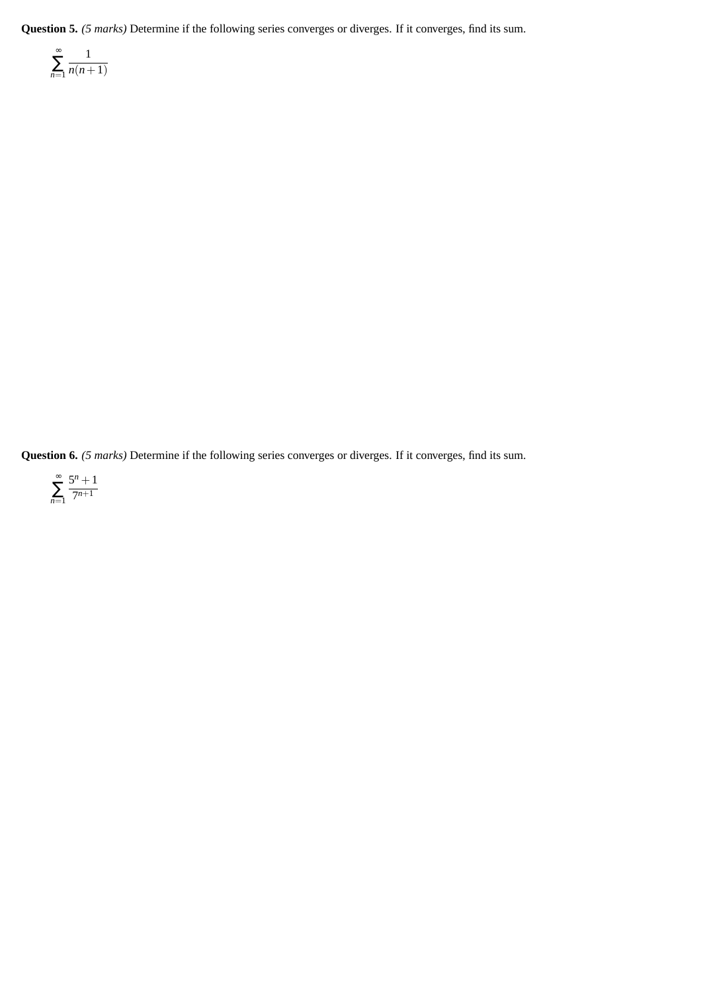**Question 5.** *(5 marks)* Determine if the following series converges or diverges. If it converges, find its sum.

$$
\sum_{n=1}^{\infty} \frac{1}{n(n+1)}
$$

**Question 6.** *(5 marks)* Determine if the following series converges or diverges. If it converges, find its sum.

$$
\sum_{n=1}^{\infty} \frac{5^n + 1}{7^{n+1}}
$$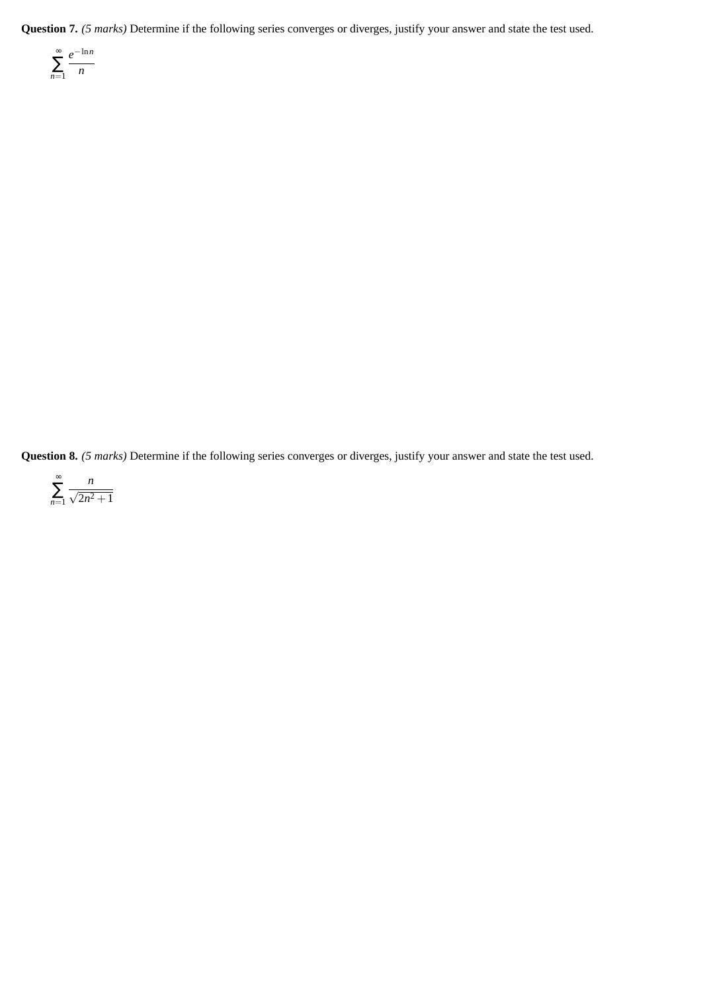**Question 7.** *(5 marks)* Determine if the following series converges or diverges, justify your answer and state the test used.

$$
\sum_{n=1}^{\infty} \frac{e^{-\ln n}}{n}
$$

**Question 8.** *(5 marks)* Determine if the following series converges or diverges, justify your answer and state the test used.

$$
\sum_{n=1}^{\infty} \frac{n}{\sqrt{2n^2+1}}
$$